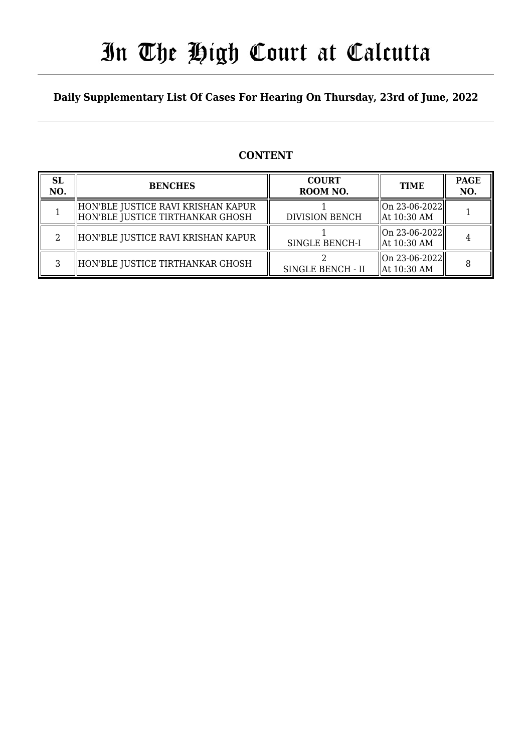# In The High Court at Calcutta

### **Daily Supplementary List Of Cases For Hearing On Thursday, 23rd of June, 2022**

### **CONTENT**

| <b>SL</b><br>NO. | <b>BENCHES</b>                                                           | <b>COURT</b><br>ROOM NO. | <b>TIME</b>                              | <b>PAGE</b><br>NO. |
|------------------|--------------------------------------------------------------------------|--------------------------|------------------------------------------|--------------------|
|                  | HON'BLE JUSTICE RAVI KRISHAN KAPUR<br>  HON'BLE JUSTICE TIRTHANKAR GHOSH | <b>DIVISION BENCH</b>    | $\ $ On 23-06-2022 $\ $<br>  At 10:30 AM |                    |
|                  | HON'BLE JUSTICE RAVI KRISHAN KAPUR                                       | <b>SINGLE BENCH-I</b>    | On 23-06-2022  <br>  At 10:30 AM         |                    |
|                  | HON'BLE JUSTICE TIRTHANKAR GHOSH                                         | SINGLE BENCH - II        | $\ $ On 23-06-2022 $\ $<br>  At 10:30 AM |                    |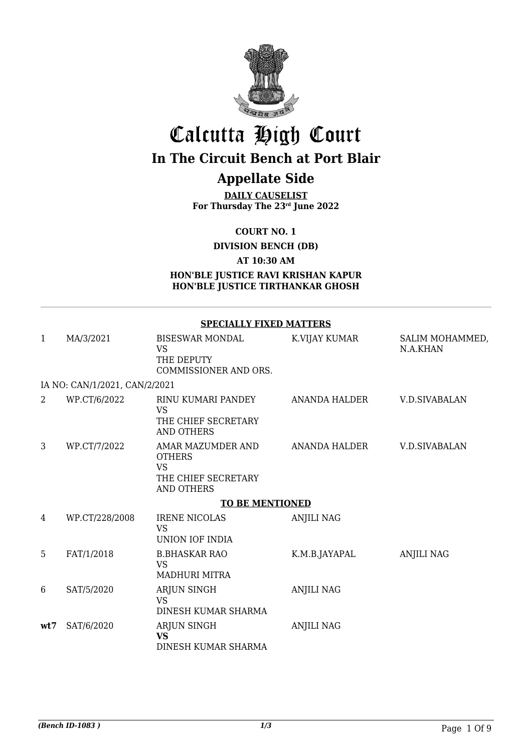

# Calcutta High Court

# **In The Circuit Bench at Port Blair**

### **Appellate Side**

**DAILY CAUSELIST For Thursday The 23rd June 2022**

**COURT NO. 1**

**DIVISION BENCH (DB)**

**AT 10:30 AM**

**HON'BLE JUSTICE RAVI KRISHAN KAPUR HON'BLE JUSTICE TIRTHANKAR GHOSH**

#### **SPECIALLY FIXED MATTERS**

| 1   | MA/3/2021                     | <b>BISESWAR MONDAL</b><br><b>VS</b><br>THE DEPUTY<br>COMMISSIONER AND ORS.                  | K.VIJAY KUMAR     | SALIM MOHAMMED,<br>N.A.KHAN |  |  |
|-----|-------------------------------|---------------------------------------------------------------------------------------------|-------------------|-----------------------------|--|--|
|     | IA NO: CAN/1/2021, CAN/2/2021 |                                                                                             |                   |                             |  |  |
| 2   | WP.CT/6/2022                  | RINU KUMARI PANDEY<br><b>VS</b><br>THE CHIEF SECRETARY<br>AND OTHERS                        | ANANDA HALDER     | <b>V.D.SIVABALAN</b>        |  |  |
| 3   | WP.CT/7/2022                  | AMAR MAZUMDER AND<br><b>OTHERS</b><br><b>VS</b><br>THE CHIEF SECRETARY<br><b>AND OTHERS</b> | ANANDA HALDER     | V.D.SIVABALAN               |  |  |
|     | <b>TO BE MENTIONED</b>        |                                                                                             |                   |                             |  |  |
| 4   | WP.CT/228/2008                | <b>IRENE NICOLAS</b><br><b>VS</b><br>UNION IOF INDIA                                        | <b>ANJILI NAG</b> |                             |  |  |
| 5   | FAT/1/2018                    | <b>B.BHASKAR RAO</b><br><b>VS</b><br><b>MADHURI MITRA</b>                                   | K.M.B.JAYAPAL     | <b>ANJILI NAG</b>           |  |  |
| 6   | SAT/5/2020                    | ARJUN SINGH<br><b>VS</b><br>DINESH KUMAR SHARMA                                             | <b>ANJILI NAG</b> |                             |  |  |
| wt7 | SAT/6/2020                    | ARJUN SINGH<br><b>VS</b><br>DINESH KUMAR SHARMA                                             | <b>ANJILI NAG</b> |                             |  |  |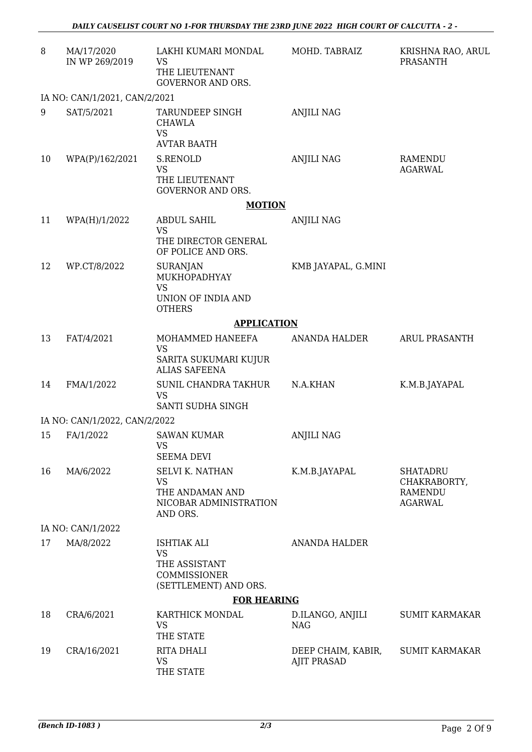| 8  | MA/17/2020<br>IN WP 269/2019  | LAKHI KUMARI MONDAL<br><b>VS</b><br>THE LIEUTENANT<br><b>GOVERNOR AND ORS.</b>               | MOHD. TABRAIZ                            | KRISHNA RAO, ARUL<br>PRASANTH                                       |
|----|-------------------------------|----------------------------------------------------------------------------------------------|------------------------------------------|---------------------------------------------------------------------|
|    | IA NO: CAN/1/2021, CAN/2/2021 |                                                                                              |                                          |                                                                     |
| 9  | SAT/5/2021                    | TARUNDEEP SINGH<br><b>CHAWLA</b><br><b>VS</b><br><b>AVTAR BAATH</b>                          | <b>ANJILI NAG</b>                        |                                                                     |
| 10 | WPA(P)/162/2021               | S.RENOLD<br><b>VS</b><br>THE LIEUTENANT<br><b>GOVERNOR AND ORS.</b>                          | <b>ANJILI NAG</b>                        | RAMENDU<br><b>AGARWAL</b>                                           |
|    |                               | <b>MOTION</b>                                                                                |                                          |                                                                     |
| 11 | WPA(H)/1/2022                 | <b>ABDUL SAHIL</b><br><b>VS</b><br>THE DIRECTOR GENERAL<br>OF POLICE AND ORS.                | <b>ANJILI NAG</b>                        |                                                                     |
| 12 | WP.CT/8/2022                  | <b>SURANJAN</b><br>MUKHOPADHYAY<br><b>VS</b><br>UNION OF INDIA AND<br><b>OTHERS</b>          | KMB JAYAPAL, G.MINI                      |                                                                     |
|    |                               | <b>APPLICATION</b>                                                                           |                                          |                                                                     |
| 13 | FAT/4/2021                    | MOHAMMED HANEEFA<br><b>VS</b><br>SARITA SUKUMARI KUJUR<br><b>ALIAS SAFEENA</b>               | ANANDA HALDER                            | <b>ARUL PRASANTH</b>                                                |
| 14 | FMA/1/2022                    | SUNIL CHANDRA TAKHUR<br><b>VS</b><br>SANTI SUDHA SINGH                                       | N.A.KHAN                                 | K.M.B.JAYAPAL                                                       |
|    | IA NO: CAN/1/2022, CAN/2/2022 |                                                                                              |                                          |                                                                     |
| 15 | FA/1/2022                     | <b>SAWAN KUMAR</b><br><b>VS</b><br><b>SEEMA DEVI</b>                                         | <b>ANJILI NAG</b>                        |                                                                     |
| 16 | MA/6/2022                     | <b>SELVI K. NATHAN</b><br><b>VS</b><br>THE ANDAMAN AND<br>NICOBAR ADMINISTRATION<br>AND ORS. | K.M.B.JAYAPAL                            | <b>SHATADRU</b><br>CHAKRABORTY,<br><b>RAMENDU</b><br><b>AGARWAL</b> |
|    | IA NO: CAN/1/2022             |                                                                                              |                                          |                                                                     |
| 17 | MA/8/2022                     | <b>ISHTIAK ALI</b><br><b>VS</b><br>THE ASSISTANT<br>COMMISSIONER<br>(SETTLEMENT) AND ORS.    | <b>ANANDA HALDER</b>                     |                                                                     |
|    |                               | <b>FOR HEARING</b>                                                                           |                                          |                                                                     |
| 18 | CRA/6/2021                    | KARTHICK MONDAL<br><b>VS</b><br>THE STATE                                                    | D.ILANGO, ANJILI<br><b>NAG</b>           | <b>SUMIT KARMAKAR</b>                                               |
| 19 | CRA/16/2021                   | <b>RITA DHALI</b><br><b>VS</b><br>THE STATE                                                  | DEEP CHAIM, KABIR,<br><b>AJIT PRASAD</b> | <b>SUMIT KARMAKAR</b>                                               |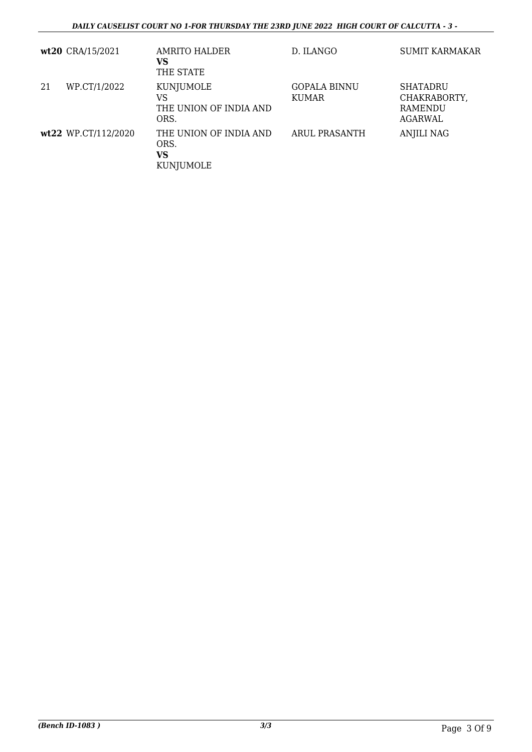|    | wt20 CRA/15/2021    | AMRITO HALDER<br>VS<br>THE STATE                  | D. ILANGO                           | <b>SUMIT KARMAKAR</b>                          |
|----|---------------------|---------------------------------------------------|-------------------------------------|------------------------------------------------|
| 21 | WP.CT/1/2022        | KUNJUMOLE<br>VS<br>THE UNION OF INDIA AND<br>ORS. | <b>GOPALA BINNU</b><br><b>KUMAR</b> | SHATADRU<br>CHAKRABORTY,<br>RAMENDU<br>AGARWAL |
|    | wt22 WP.CT/112/2020 | THE UNION OF INDIA AND<br>ORS.<br>VS<br>KUNJUMOLE | ARUL PRASANTH                       | ANJILI NAG                                     |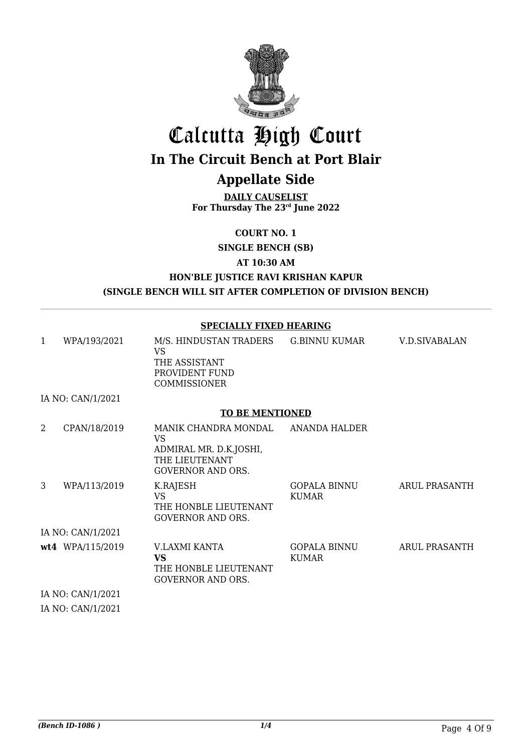

# Calcutta High Court **In The Circuit Bench at Port Blair**

## **Appellate Side**

**DAILY CAUSELIST For Thursday The 23rd June 2022**

**COURT NO. 1**

**SINGLE BENCH (SB)**

**AT 10:30 AM**

#### **HON'BLE JUSTICE RAVI KRISHAN KAPUR (SINGLE BENCH WILL SIT AFTER COMPLETION OF DIVISION BENCH)**

#### **SPECIALLY FIXED HEARING**

| 1 | WPA/193/2021                                                                                           | M/S. HINDUSTAN TRADERS<br><b>VS</b><br>THE ASSISTANT<br>PROVIDENT FUND<br><b>COMMISSIONER</b>       | <b>G.BINNU KUMAR</b>         | <b>V.D.SIVABALAN</b> |
|---|--------------------------------------------------------------------------------------------------------|-----------------------------------------------------------------------------------------------------|------------------------------|----------------------|
|   | IA NO: CAN/1/2021                                                                                      |                                                                                                     |                              |                      |
|   |                                                                                                        | <b>TO BE MENTIONED</b>                                                                              |                              |                      |
| 2 | CPAN/18/2019                                                                                           | MANIK CHANDRA MONDAL<br>VS.<br>ADMIRAL MR. D.K.JOSHI,<br>THE LIEUTENANT<br><b>GOVERNOR AND ORS.</b> | <b>ANANDA HALDER</b>         |                      |
| 3 | WPA/113/2019                                                                                           | K.RAJESH<br><b>VS</b><br>THE HONBLE LIEUTENANT<br><b>GOVERNOR AND ORS.</b>                          | GOPALA BINNU<br><b>KUMAR</b> | <b>ARUL PRASANTH</b> |
|   | IA NO: CAN/1/2021                                                                                      |                                                                                                     |                              |                      |
|   | wt4 WPA/115/2019                                                                                       | V.LAXMI KANTA<br><b>VS</b><br>THE HONBLE LIEUTENANT<br><b>GOVERNOR AND ORS.</b>                     | GOPALA BINNU<br><b>KUMAR</b> | <b>ARUL PRASANTH</b> |
|   | IA NO: CAN/1/2021                                                                                      |                                                                                                     |                              |                      |
|   | $T_A$ $\overline{M}$ $\cap$ $\overline{M}$ $\overline{M}$ $\overline{M}$ $\overline{M}$ $\overline{M}$ |                                                                                                     |                              |                      |

IA NO: CAN/1/2021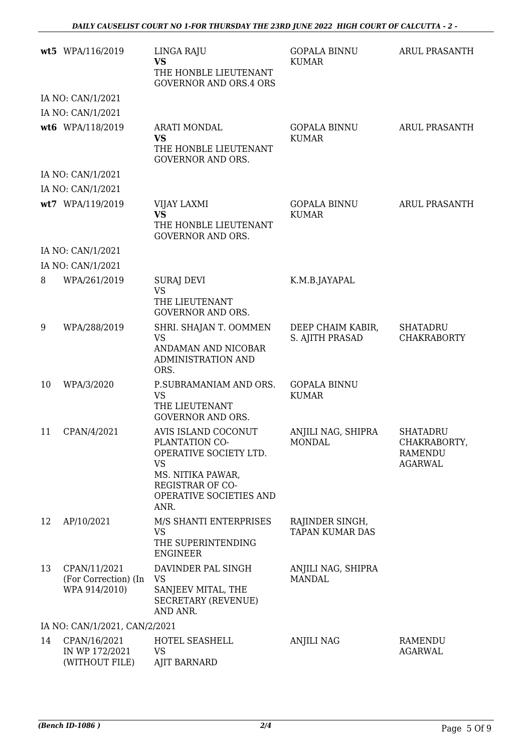|    | wt5 WPA/116/2019                                      | LINGA RAJU<br><b>VS</b><br>THE HONBLE LIEUTENANT<br><b>GOVERNOR AND ORS.4 ORS</b>                                                                        | <b>GOPALA BINNU</b><br><b>KUMAR</b>  | <b>ARUL PRASANTH</b>                                                |
|----|-------------------------------------------------------|----------------------------------------------------------------------------------------------------------------------------------------------------------|--------------------------------------|---------------------------------------------------------------------|
|    | IA NO: CAN/1/2021                                     |                                                                                                                                                          |                                      |                                                                     |
|    | IA NO: CAN/1/2021                                     |                                                                                                                                                          |                                      |                                                                     |
|    | wt6 WPA/118/2019                                      | <b>ARATI MONDAL</b><br><b>VS</b><br>THE HONBLE LIEUTENANT<br><b>GOVERNOR AND ORS.</b>                                                                    | <b>GOPALA BINNU</b><br><b>KUMAR</b>  | <b>ARUL PRASANTH</b>                                                |
|    | IA NO: CAN/1/2021                                     |                                                                                                                                                          |                                      |                                                                     |
|    | IA NO: CAN/1/2021                                     |                                                                                                                                                          |                                      |                                                                     |
|    | wt7 WPA/119/2019                                      | <b>VIJAY LAXMI</b><br><b>VS</b><br>THE HONBLE LIEUTENANT<br><b>GOVERNOR AND ORS.</b>                                                                     | <b>GOPALA BINNU</b><br><b>KUMAR</b>  | <b>ARUL PRASANTH</b>                                                |
|    | IA NO: CAN/1/2021                                     |                                                                                                                                                          |                                      |                                                                     |
|    | IA NO: CAN/1/2021                                     |                                                                                                                                                          |                                      |                                                                     |
| 8  | WPA/261/2019                                          | SURAJ DEVI<br><b>VS</b><br>THE LIEUTENANT<br><b>GOVERNOR AND ORS.</b>                                                                                    | K.M.B.JAYAPAL                        |                                                                     |
| 9  | WPA/288/2019                                          | SHRI. SHAJAN T. OOMMEN<br><b>VS</b><br>ANDAMAN AND NICOBAR<br>ADMINISTRATION AND<br>ORS.                                                                 | DEEP CHAIM KABIR,<br>S. AJITH PRASAD | <b>SHATADRU</b><br><b>CHAKRABORTY</b>                               |
| 10 | WPA/3/2020                                            | P.SUBRAMANIAM AND ORS.<br><b>VS</b><br>THE LIEUTENANT<br><b>GOVERNOR AND ORS.</b>                                                                        | <b>GOPALA BINNU</b><br><b>KUMAR</b>  |                                                                     |
| 11 | CPAN/4/2021                                           | AVIS ISLAND COCONUT<br>PLANTATION CO-<br>OPERATIVE SOCIETY LTD.<br><b>VS</b><br>MS. NITIKA PAWAR,<br>REGISTRAR OF CO-<br>OPERATIVE SOCIETIES AND<br>ANR. | ANJILI NAG, SHIPRA<br>MONDAL         | <b>SHATADRU</b><br>CHAKRABORTY,<br><b>RAMENDU</b><br><b>AGARWAL</b> |
| 12 | AP/10/2021                                            | M/S SHANTI ENTERPRISES<br><b>VS</b><br>THE SUPERINTENDING<br><b>ENGINEER</b>                                                                             | RAJINDER SINGH,<br>TAPAN KUMAR DAS   |                                                                     |
| 13 | CPAN/11/2021<br>(For Correction) (In<br>WPA 914/2010) | DAVINDER PAL SINGH<br><b>VS</b><br>SANJEEV MITAL, THE<br><b>SECRETARY (REVENUE)</b><br>AND ANR.                                                          | ANJILI NAG, SHIPRA<br><b>MANDAL</b>  |                                                                     |
|    | IA NO: CAN/1/2021, CAN/2/2021                         |                                                                                                                                                          |                                      |                                                                     |
| 14 | CPAN/16/2021<br>IN WP 172/2021<br>(WITHOUT FILE)      | HOTEL SEASHELL<br><b>VS</b><br><b>AJIT BARNARD</b>                                                                                                       | <b>ANJILI NAG</b>                    | RAMENDU<br><b>AGARWAL</b>                                           |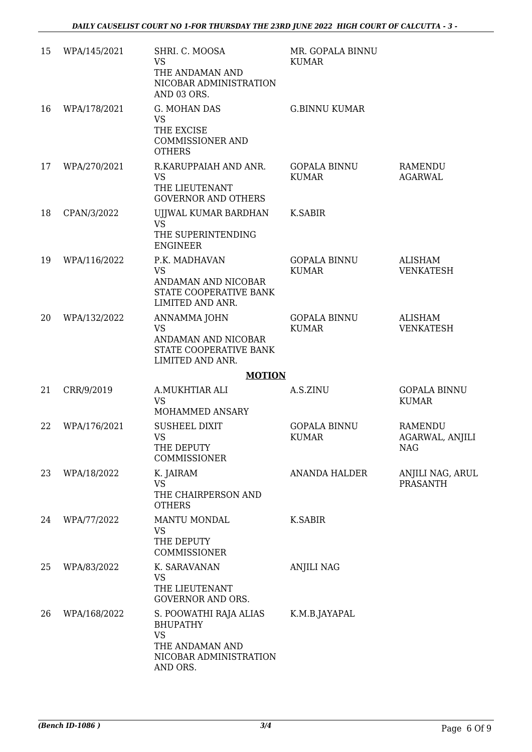| 15 | WPA/145/2021 | SHRI. C. MOOSA<br><b>VS</b><br>THE ANDAMAN AND<br>NICOBAR ADMINISTRATION<br>AND 03 ORS.                         | MR. GOPALA BINNU<br><b>KUMAR</b>    |                                                 |
|----|--------------|-----------------------------------------------------------------------------------------------------------------|-------------------------------------|-------------------------------------------------|
| 16 | WPA/178/2021 | G. MOHAN DAS<br><b>VS</b><br>THE EXCISE<br><b>COMMISSIONER AND</b><br><b>OTHERS</b>                             | <b>G.BINNU KUMAR</b>                |                                                 |
| 17 | WPA/270/2021 | R.KARUPPAIAH AND ANR.<br><b>VS</b><br>THE LIEUTENANT<br><b>GOVERNOR AND OTHERS</b>                              | <b>GOPALA BINNU</b><br><b>KUMAR</b> | RAMENDU<br><b>AGARWAL</b>                       |
| 18 | CPAN/3/2022  | UJJWAL KUMAR BARDHAN<br><b>VS</b><br>THE SUPERINTENDING<br><b>ENGINEER</b>                                      | K.SABIR                             |                                                 |
| 19 | WPA/116/2022 | P.K. MADHAVAN<br><b>VS</b><br>ANDAMAN AND NICOBAR<br>STATE COOPERATIVE BANK<br>LIMITED AND ANR.                 | <b>GOPALA BINNU</b><br><b>KUMAR</b> | <b>ALISHAM</b><br><b>VENKATESH</b>              |
| 20 | WPA/132/2022 | ANNAMMA JOHN<br><b>VS</b><br>ANDAMAN AND NICOBAR<br>STATE COOPERATIVE BANK<br>LIMITED AND ANR.                  | <b>GOPALA BINNU</b><br><b>KUMAR</b> | <b>ALISHAM</b><br><b>VENKATESH</b>              |
|    |              | <b>MOTION</b>                                                                                                   |                                     |                                                 |
| 21 | CRR/9/2019   | A.MUKHTIAR ALI<br><b>VS</b><br>MOHAMMED ANSARY                                                                  | A.S.ZINU                            | <b>GOPALA BINNU</b><br><b>KUMAR</b>             |
| 22 | WPA/176/2021 | <b>SUSHEEL DIXIT</b><br><b>VS</b><br>THE DEPUTY<br>COMMISSIONER                                                 | <b>GOPALA BINNU</b><br><b>KUMAR</b> | RAMENDU<br><b>AGARWAL, ANJILI</b><br><b>NAG</b> |
| 23 | WPA/18/2022  | K. JAIRAM<br><b>VS</b><br>THE CHAIRPERSON AND<br><b>OTHERS</b>                                                  | <b>ANANDA HALDER</b>                | ANJILI NAG, ARUL<br><b>PRASANTH</b>             |
| 24 | WPA/77/2022  | <b>MANTU MONDAL</b><br>VS<br>THE DEPUTY<br>COMMISSIONER                                                         | <b>K.SABIR</b>                      |                                                 |
| 25 | WPA/83/2022  | K. SARAVANAN<br><b>VS</b><br>THE LIEUTENANT<br><b>GOVERNOR AND ORS.</b>                                         | ANJILI NAG                          |                                                 |
| 26 | WPA/168/2022 | S. POOWATHI RAJA ALIAS<br><b>BHUPATHY</b><br><b>VS</b><br>THE ANDAMAN AND<br>NICOBAR ADMINISTRATION<br>AND ORS. | K.M.B.JAYAPAL                       |                                                 |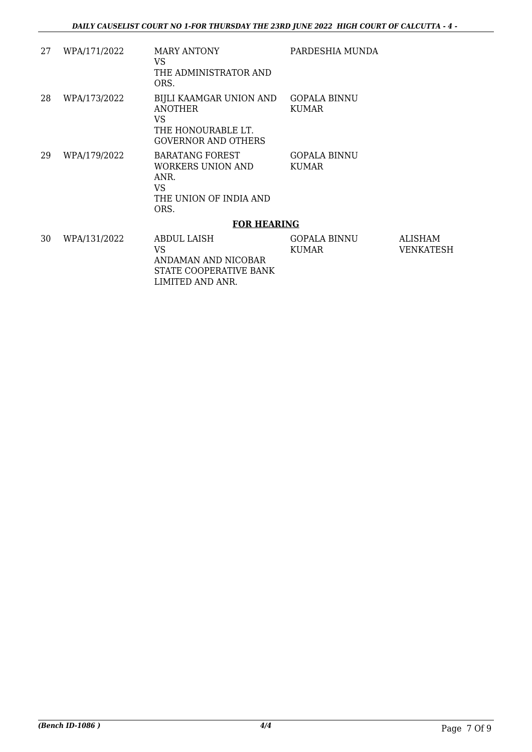| 27 | WPA/171/2022 | <b>MARY ANTONY</b><br>VS.<br>THE ADMINISTRATOR AND<br>ORS.                                    | PARDESHIA MUNDA                     |                                    |
|----|--------------|-----------------------------------------------------------------------------------------------|-------------------------------------|------------------------------------|
| 28 | WPA/173/2022 | BIJLI KAAMGAR UNION AND<br>ANOTHER<br>VS.<br>THE HONOURABLE LT.<br><b>GOVERNOR AND OTHERS</b> | <b>GOPALA BINNU</b><br><b>KUMAR</b> |                                    |
| 29 | WPA/179/2022 | <b>BARATANG FOREST</b><br>WORKERS UNION AND<br>ANR.<br>VS.<br>THE UNION OF INDIA AND<br>ORS.  | <b>GOPALA BINNU</b><br><b>KUMAR</b> |                                    |
|    |              | <b>FOR HEARING</b>                                                                            |                                     |                                    |
| 30 | WPA/131/2022 | ABDUL LAISH<br>VS.<br>ANDAMAN AND NICOBAR<br>STATE COOPERATIVE BANK<br>LIMITED AND ANR.       | <b>GOPALA BINNU</b><br><b>KUMAR</b> | <b>ALISHAM</b><br><b>VENKATESH</b> |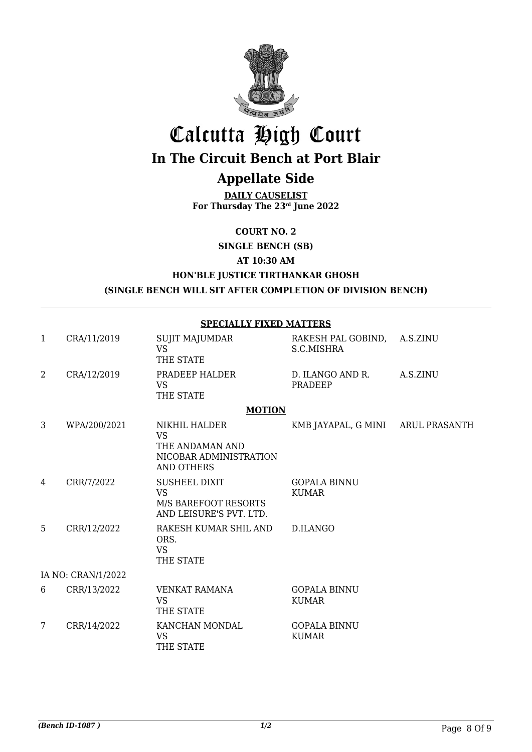

# Calcutta High Court

# **In The Circuit Bench at Port Blair**

## **Appellate Side**

**DAILY CAUSELIST For Thursday The 23rd June 2022**

**COURT NO. 2**

**SINGLE BENCH (SB)**

**AT 10:30 AM**

#### **HON'BLE JUSTICE TIRTHANKAR GHOSH (SINGLE BENCH WILL SIT AFTER COMPLETION OF DIVISION BENCH)**

**SPECIALLY FIXED MATTERS**

| 1 | CRA/11/2019        | <b>SUJIT MAJUMDAR</b><br><b>VS</b><br>THE STATE                                             | RAKESH PAL GOBIND,<br>S.C.MISHRA    | A.S.ZINU |
|---|--------------------|---------------------------------------------------------------------------------------------|-------------------------------------|----------|
| 2 | CRA/12/2019        | PRADEEP HALDER<br><b>VS</b><br>THE STATE                                                    | D. ILANGO AND R.<br>PRADEEP         | A.S.ZINU |
|   |                    | <b>MOTION</b>                                                                               |                                     |          |
| 3 | WPA/200/2021       | NIKHIL HALDER<br><b>VS</b><br>THE ANDAMAN AND                                               | KMB JAYAPAL, G MINI ARUL PRASANTH   |          |
|   |                    | NICOBAR ADMINISTRATION<br><b>AND OTHERS</b>                                                 |                                     |          |
| 4 | CRR/7/2022         | <b>SUSHEEL DIXIT</b><br><b>VS</b><br><b>M/S BAREFOOT RESORTS</b><br>AND LEISURE'S PVT. LTD. | <b>GOPALA BINNU</b><br><b>KUMAR</b> |          |
| 5 | CRR/12/2022        | RAKESH KUMAR SHIL AND<br>ORS.<br><b>VS</b><br>THE STATE                                     | D.ILANGO                            |          |
|   | IA NO: CRAN/1/2022 |                                                                                             |                                     |          |
| 6 | CRR/13/2022        | <b>VENKAT RAMANA</b><br><b>VS</b><br>THE STATE                                              | <b>GOPALA BINNU</b><br><b>KUMAR</b> |          |
| 7 | CRR/14/2022        | KANCHAN MONDAL<br><b>VS</b><br>THE STATE                                                    | <b>GOPALA BINNU</b><br><b>KUMAR</b> |          |